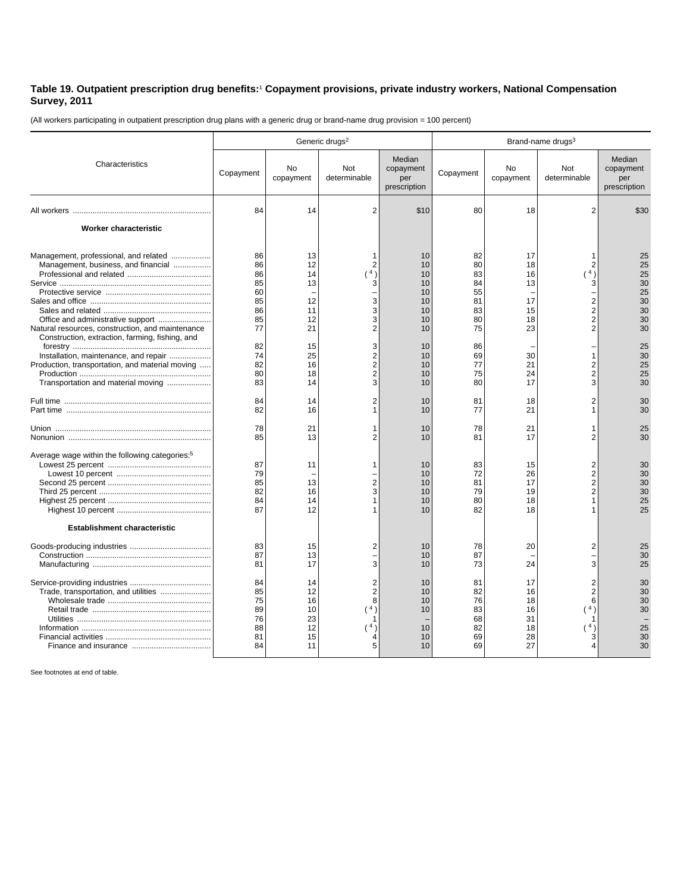## **Table 19. Outpatient prescription drug benefits:**<sup>1</sup>  **Copayment provisions, private industry workers, National Compensation Survey, 2011**

(All workers participating in outpatient prescription drug plans with a generic drug or brand-name drug provision = 100 percent)

|                                                                                                                                | Generic drugs <sup>2</sup>                   |                                              |                                                                       |                                            | Brand-name drugs <sup>3</sup>                |                                              |                                                         |                                            |
|--------------------------------------------------------------------------------------------------------------------------------|----------------------------------------------|----------------------------------------------|-----------------------------------------------------------------------|--------------------------------------------|----------------------------------------------|----------------------------------------------|---------------------------------------------------------|--------------------------------------------|
| Characteristics                                                                                                                | Copayment                                    | <b>No</b><br>copayment                       | <b>Not</b><br>determinable                                            | Median<br>copayment<br>per<br>prescription | Copayment                                    | <b>No</b><br>copayment                       | <b>Not</b><br>determinable                              | Median<br>copayment<br>per<br>prescription |
|                                                                                                                                | 84                                           | 14                                           | $\overline{2}$                                                        | \$10                                       | 80                                           | 18                                           | $\overline{2}$                                          | \$30                                       |
| Worker characteristic                                                                                                          |                                              |                                              |                                                                       |                                            |                                              |                                              |                                                         |                                            |
| Management, professional, and related<br>Management, business, and financial                                                   | 86<br>86<br>86<br>85<br>60<br>85             | 13<br>12<br>14<br>13<br>12                   | 1<br>$\overline{2}$<br>4)<br>3<br>3                                   | 10<br>10<br>10<br>10<br>10<br>10           | 82<br>80<br>83<br>84<br>55<br>81             | 17<br>18<br>16<br>13<br>17                   | 4 <sub>1</sub><br>3                                     | 25<br>25<br>25<br>30<br>25<br>30           |
| Natural resources, construction, and maintenance<br>Construction, extraction, farming, fishing, and                            | 86<br>85<br>77                               | 11<br>12<br>21                               | 3<br>3<br>$\overline{2}$                                              | 10<br>10<br>10                             | 83<br>80<br>75                               | 15<br>18<br>23                               | 2<br>2                                                  | 30<br>30<br>30                             |
| Installation, maintenance, and repair<br>Production, transportation, and material moving<br>Transportation and material moving | 82<br>74<br>82<br>80<br>83                   | 15<br>25<br>16<br>18<br>14                   | 3<br>$\overline{2}$<br>$\overline{2}$<br>$\overline{\mathbf{c}}$<br>3 | 10<br>10<br>10<br>10<br>10                 | 86<br>69<br>77<br>75<br>80                   | 30<br>21<br>24<br>17                         | 2<br>2<br>3                                             | 25<br>30<br>25<br>25<br>30                 |
|                                                                                                                                | 84<br>82                                     | 14<br>16                                     | $\overline{2}$<br>1                                                   | 10<br>10                                   | 81<br>77                                     | 18<br>21                                     | 2                                                       | 30<br>30                                   |
|                                                                                                                                | 78<br>85                                     | 21<br>13                                     | 1<br>2                                                                | 10<br>10                                   | 78<br>81                                     | 21<br>17                                     | 1<br>2                                                  | 25<br>30                                   |
| Average wage within the following categories: <sup>5</sup><br><b>Establishment characteristic</b>                              | 87<br>79<br>85<br>82<br>84<br>87             | 11<br>13<br>16<br>14<br>12                   | 1<br>$\overline{2}$<br>3<br>1<br>1                                    | 10<br>10<br>10<br>10<br>10<br>10           | 83<br>72<br>81<br>79<br>80<br>82             | 15<br>26<br>17<br>19<br>18<br>18             | $\overline{2}$<br>$\overline{2}$<br>2<br>$\overline{2}$ | 30<br>30<br>30<br>30<br>25<br>25           |
|                                                                                                                                | 83<br>87<br>81                               | 15<br>13<br>17                               | 2<br>3                                                                | 10<br>10<br>10                             | 78<br>87<br>73                               | 20<br>24                                     | 2<br>3                                                  | 25<br>30<br>25                             |
| Trade, transportation, and utilities                                                                                           | 84<br>85<br>75<br>89<br>76<br>88<br>81<br>84 | 14<br>12<br>16<br>10<br>23<br>12<br>15<br>11 | $\overline{2}$<br>$\overline{2}$<br>8<br>(4)<br>1<br>(4)<br>4<br>5    | 10<br>10<br>10<br>10<br>10<br>10<br>10     | 81<br>82<br>76<br>83<br>68<br>82<br>69<br>69 | 17<br>16<br>18<br>16<br>31<br>18<br>28<br>27 | 6<br>(4)<br>(4)                                         | 30<br>30<br>30<br>30<br>25<br>30<br>30     |

See footnotes at end of table.